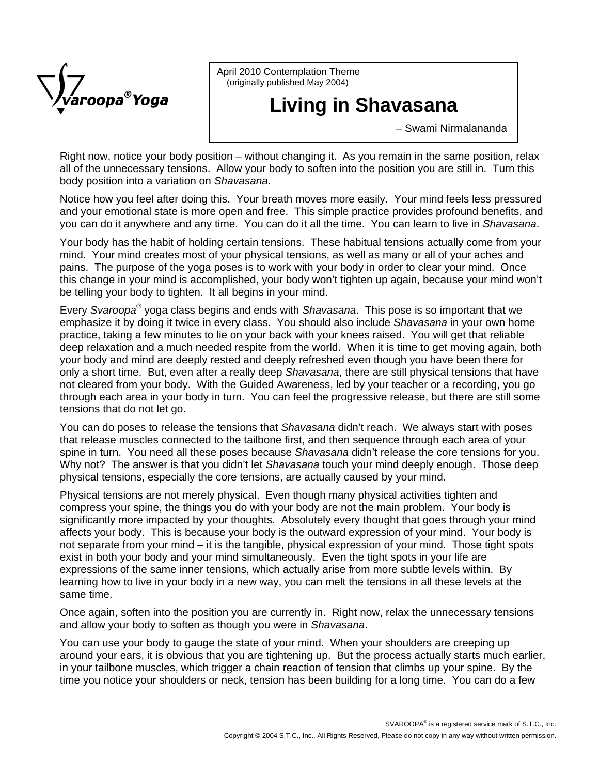

April 2010 Contemplation Theme (originally published May 2004)

## **Living in Shavasana**

– Swami Nirmalananda

Right now, notice your body position – without changing it. As you remain in the same position, relax all of the unnecessary tensions. Allow your body to soften into the position you are still in. Turn this body position into a variation on *Shavasana*.

Notice how you feel after doing this. Your breath moves more easily. Your mind feels less pressured and your emotional state is more open and free. This simple practice provides profound benefits, and you can do it anywhere and any time. You can do it all the time. You can learn to live in *Shavasana*.

Your body has the habit of holding certain tensions. These habitual tensions actually come from your mind. Your mind creates most of your physical tensions, as well as many or all of your aches and pains. The purpose of the yoga poses is to work with your body in order to clear your mind. Once this change in your mind is accomplished, your body won't tighten up again, because your mind won't be telling your body to tighten. It all begins in your mind.

Every *Svaroopa*® yoga class begins and ends with *Shavasana*. This pose is so important that we emphasize it by doing it twice in every class. You should also include *Shavasana* in your own home practice, taking a few minutes to lie on your back with your knees raised. You will get that reliable deep relaxation and a much needed respite from the world. When it is time to get moving again, both your body and mind are deeply rested and deeply refreshed even though you have been there for only a short time. But, even after a really deep *Shavasana*, there are still physical tensions that have not cleared from your body. With the Guided Awareness, led by your teacher or a recording, you go through each area in your body in turn. You can feel the progressive release, but there are still some tensions that do not let go.

You can do poses to release the tensions that *Shavasana* didn't reach. We always start with poses that release muscles connected to the tailbone first, and then sequence through each area of your spine in turn. You need all these poses because *Shavasana* didn't release the core tensions for you. Why not? The answer is that you didn't let *Shavasana* touch your mind deeply enough. Those deep physical tensions, especially the core tensions, are actually caused by your mind.

Physical tensions are not merely physical. Even though many physical activities tighten and compress your spine, the things you do with your body are not the main problem. Your body is significantly more impacted by your thoughts. Absolutely every thought that goes through your mind affects your body. This is because your body is the outward expression of your mind. Your body is not separate from your mind – it is the tangible, physical expression of your mind. Those tight spots exist in both your body and your mind simultaneously. Even the tight spots in your life are expressions of the same inner tensions, which actually arise from more subtle levels within. By learning how to live in your body in a new way, you can melt the tensions in all these levels at the same time.

Once again, soften into the position you are currently in. Right now, relax the unnecessary tensions and allow your body to soften as though you were in *Shavasana*.

You can use your body to gauge the state of your mind. When your shoulders are creeping up around your ears, it is obvious that you are tightening up. But the process actually starts much earlier, in your tailbone muscles, which trigger a chain reaction of tension that climbs up your spine. By the time you notice your shoulders or neck, tension has been building for a long time. You can do a few